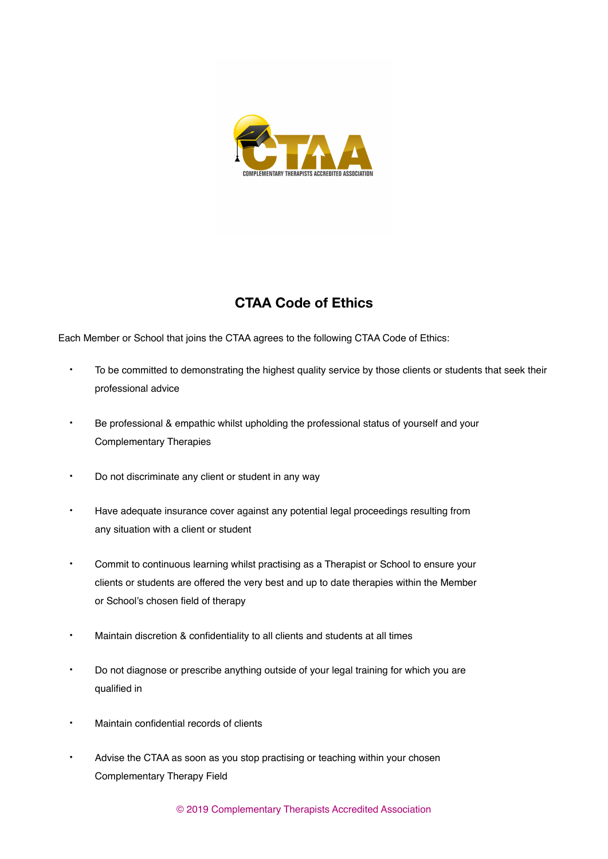

## **CTAA Code of Ethics**

Each Member or School that joins the CTAA agrees to the following CTAA Code of Ethics:

- To be committed to demonstrating the highest quality service by those clients or students that seek their professional advice
- Be professional & empathic whilst upholding the professional status of yourself and your Complementary Therapies
- Do not discriminate any client or student in any way
- Have adequate insurance cover against any potential legal proceedings resulting from any situation with a client or student
- Commit to continuous learning whilst practising as a Therapist or School to ensure your clients or students are offered the very best and up to date therapies within the Member or School's chosen field of therapy
- Maintain discretion & confidentiality to all clients and students at all times
- Do not diagnose or prescribe anything outside of your legal training for which you are qualified in
- Maintain confidential records of clients
- Advise the CTAA as soon as you stop practising or teaching within your chosen Complementary Therapy Field